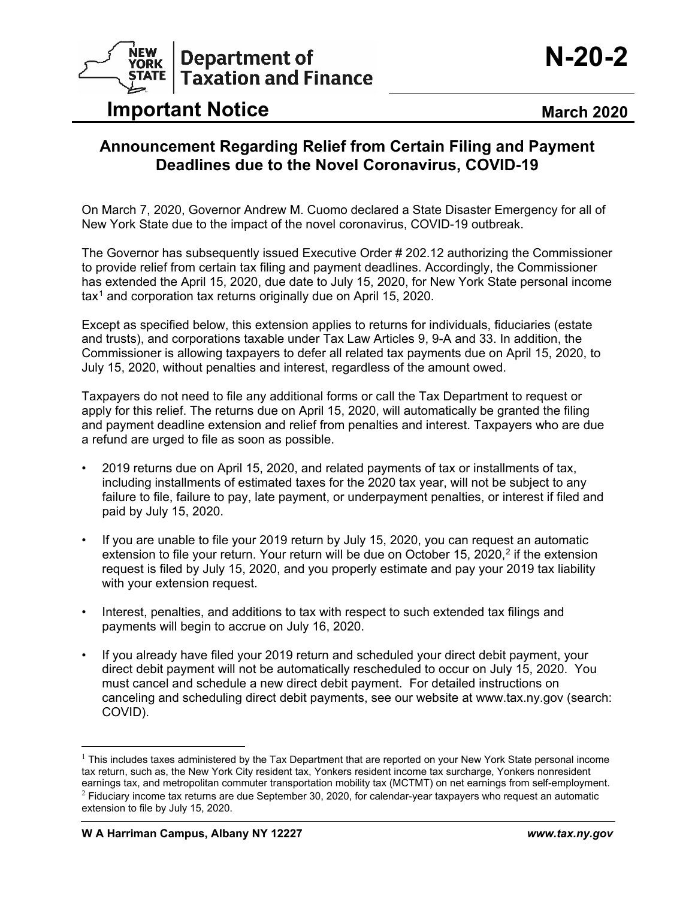

## **Important Notice <b>March** 2020

## **Announcement Regarding Relief from Certain Filing and Payment Deadlines due to the Novel Coronavirus, COVID-19**

On March 7, 2020, Governor Andrew M. Cuomo declared a State Disaster Emergency for all of New York State due to the impact of the novel coronavirus, COVID-19 outbreak.

The Governor has subsequently issued Executive Order # 202.12 authorizing the Commissioner to provide relief from certain tax filing and payment deadlines. Accordingly, the Commissioner has extended the April 15, 2020, due date to July 15, 2020, for New York State personal income tax[1](#page-0-0) and corporation tax returns originally due on April 15, 2020.

Except as specified below, this extension applies to returns for individuals, fiduciaries (estate and trusts), and corporations taxable under Tax Law Articles 9, 9-A and 33. In addition, the Commissioner is allowing taxpayers to defer all related tax payments due on April 15, 2020, to July 15, 2020, without penalties and interest, regardless of the amount owed.

Taxpayers do not need to file any additional forms or call the Tax Department to request or apply for this relief. The returns due on April 15, 2020, will automatically be granted the filing and payment deadline extension and relief from penalties and interest. Taxpayers who are due a refund are urged to file as soon as possible.

- 2019 returns due on April 15, 2020, and related payments of tax or installments of tax, including installments of estimated taxes for the 2020 tax year, will not be subject to any failure to file, failure to pay, late payment, or underpayment penalties, or interest if filed and paid by July 15, 2020.
- If you are unable to file your 2019 return by July 15, 2020, you can request an automatic extension to file your return. Your return will be due on October 15, [2](#page-0-1)020,<sup>2</sup> if the extension request is filed by July 15, 2020, and you properly estimate and pay your 2019 tax liability with your extension request.
- Interest, penalties, and additions to tax with respect to such extended tax filings and payments will begin to accrue on July 16, 2020.
- If you already have filed your 2019 return and scheduled your direct debit payment, your direct debit payment will not be automatically rescheduled to occur on July 15, 2020. You must cancel and schedule a new direct debit payment. For detailed instructions on canceling and scheduling direct debit payments, see our website at www.tax.ny.gov (search: COVID).

<span id="page-0-1"></span><span id="page-0-0"></span> $1$  This includes taxes administered by the Tax Department that are reported on your New York State personal income tax return, such as, the New York City resident tax, Yonkers resident income tax surcharge, Yonkers nonresident earnings tax, and metropolitan commuter transportation mobility tax (MCTMT) on net earnings from self-employment.  $2$  Fiduciary income tax returns are due September 30, 2020, for calendar-year taxpayers who request an automatic extension to file by July 15, 2020.